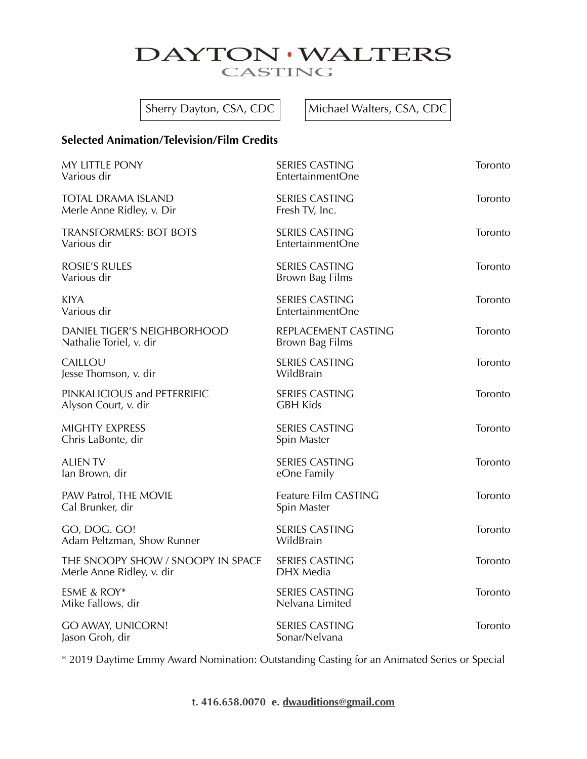## DAYTON · WALTERS CASTING

Sherry Dayton, CSA, CDC  $\vert$  Michael Walters, CSA, CDC

## **Selected Animation/Television/Film Credits**

| MY LITTLE PONY<br>Various dir                                  | <b>SERIES CASTING</b><br>EntertainmentOne | Toronto |
|----------------------------------------------------------------|-------------------------------------------|---------|
| <b>TOTAL DRAMA ISLAND</b><br>Merle Anne Ridley, v. Dir         | <b>SERIES CASTING</b><br>Fresh TV, Inc.   | Toronto |
| <b>TRANSFORMERS: BOT BOTS</b><br>Various dir                   | <b>SERIES CASTING</b><br>EntertainmentOne | Toronto |
| <b>ROSIE'S RULES</b><br>Various dir                            | <b>SERIES CASTING</b><br>Brown Bag Films  | Toronto |
| <b>KIYA</b><br>Various dir                                     | <b>SERIES CASTING</b><br>EntertainmentOne | Toronto |
| DANIEL TIGER'S NEIGHBORHOOD<br>Nathalie Toriel, v. dir         | REPLACEMENT CASTING<br>Brown Bag Films    | Toronto |
| CAILLOU<br>Jesse Thomson, v. dir                               | <b>SERIES CASTING</b><br>WildBrain        | Toronto |
| PINKALICIOUS and PETERRIFIC<br>Alyson Court, v. dir            | <b>SERIES CASTING</b><br><b>GBH Kids</b>  | Toronto |
| <b>MIGHTY EXPRESS</b><br>Chris LaBonte, dir                    | <b>SERIES CASTING</b><br>Spin Master      | Toronto |
| <b>ALIEN TV</b><br>lan Brown, dir                              | <b>SERIES CASTING</b><br>eOne Family      | Toronto |
| PAW Patrol, THE MOVIE<br>Cal Brunker, dir                      | Feature Film CASTING<br>Spin Master       | Toronto |
| GO, DOG. GO!<br>Adam Peltzman, Show Runner                     | SERIES CASTING<br>WildBrain               | Toronto |
| THE SNOOPY SHOW / SNOOPY IN SPACE<br>Merle Anne Ridley, v. dir | <b>SERIES CASTING</b><br>DHX Media        | Toronto |
| ESME & ROY*<br>Mike Fallows, dir                               | <b>SERIES CASTING</b><br>Nelvana Limited  | Toronto |
| GO AWAY, UNICORN!<br>Jason Groh, dir                           | <b>SERIES CASTING</b><br>Sonar/Nelvana    | Toronto |

\* 2019 Daytime Emmy Award Nomination: Outstanding Casting for an Animated Series or Special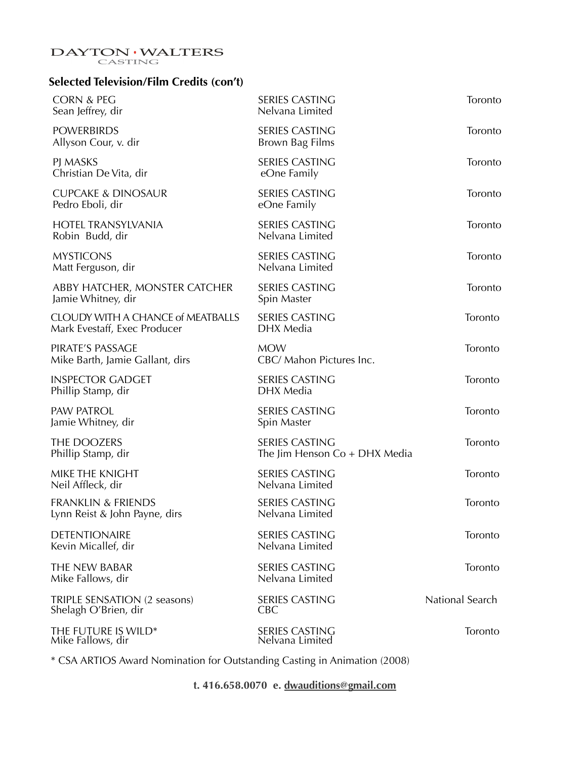# $\begin{matrix} \textbf{DAYTON} \cdot \textbf{WALTERS} \\ \textbf{CASTING} \end{matrix}$

## **Selected Television/Film Credits (con't)**

| <b>CORN &amp; PEG</b><br>Sean Jeffrey, dir                               | <b>SERIES CASTING</b><br>Nelvana Limited                 | Toronto         |
|--------------------------------------------------------------------------|----------------------------------------------------------|-----------------|
| <b>POWERBIRDS</b><br>Allyson Cour, v. dir                                | <b>SERIES CASTING</b><br>Brown Bag Films                 | Toronto         |
| PJ MASKS<br>Christian De Vita, dir                                       | <b>SERIES CASTING</b><br>eOne Family                     | Toronto         |
| <b>CUPCAKE &amp; DINOSAUR</b><br>Pedro Eboli, dir                        | <b>SERIES CASTING</b><br>eOne Family                     | Toronto         |
| <b>HOTEL TRANSYLVANIA</b><br>Robin Budd, dir                             | <b>SERIES CASTING</b><br>Nelvana Limited                 | Toronto         |
| <b>MYSTICONS</b><br>Matt Ferguson, dir                                   | <b>SERIES CASTING</b><br>Nelvana Limited                 | Toronto         |
| ABBY HATCHER, MONSTER CATCHER<br>Jamie Whitney, dir                      | <b>SERIES CASTING</b><br>Spin Master                     | Toronto         |
| <b>CLOUDY WITH A CHANCE of MEATBALLS</b><br>Mark Evestaff, Exec Producer | <b>SERIES CASTING</b><br>DHX Media                       | Toronto         |
| PIRATE'S PASSAGE<br>Mike Barth, Jamie Gallant, dirs                      | <b>MOW</b><br>CBC/ Mahon Pictures Inc.                   | Toronto         |
| <b>INSPECTOR GADGET</b><br>Phillip Stamp, dir                            | <b>SERIES CASTING</b><br>DHX Media                       | Toronto         |
| <b>PAW PATROL</b><br>Jamie Whitney, dir                                  | <b>SERIES CASTING</b><br>Spin Master                     | Toronto         |
| THE DOOZERS<br>Phillip Stamp, dir                                        | <b>SERIES CASTING</b><br>The Jim Henson $Co + DHX$ Media | Toronto         |
| MIKE THE KNIGHT<br>Neil Affleck, dir                                     | <b>SERIES CASTING</b><br>Nelvana Limited                 | Toronto         |
| <b>FRANKLIN &amp; FRIENDS</b><br>Lynn Reist & John Payne, dirs           | <b>SERIES CASTING</b><br>Nelvana Limited                 | Toronto         |
| <b>DETENTIONAIRE</b><br>Kevin Micallef, dir                              | <b>SERIES CASTING</b><br>Nelvana Limited                 | Toronto         |
| THE NEW BABAR<br>Mike Fallows, dir                                       | <b>SERIES CASTING</b><br>Nelvana Limited                 | Toronto         |
| TRIPLE SENSATION (2 seasons)<br>Shelagh O'Brien, dir                     | <b>SERIES CASTING</b><br><b>CBC</b>                      | National Search |
| THE FUTURE IS WILD*<br>Mike Fallows, dir                                 | SERIES CASTING<br>Nelvana Limited                        | Toronto         |
|                                                                          |                                                          |                 |

\* CSA ARTIOS Award Nomination for Outstanding Casting in Animation (2008)

**t. 416.658.0070 e. [dwauditions@gmail.com](mailto:daytonwalters@sympatico.ca)**